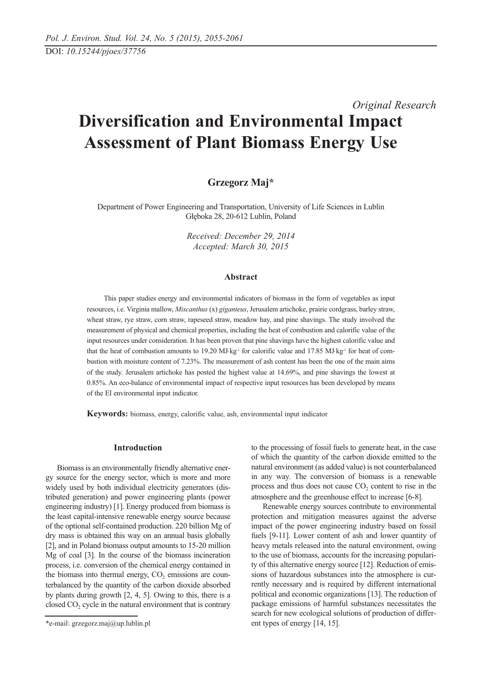# *Original Research* **Diversification and Environmental Impact Assessment of Plant Biomass Energy Use**

# **Grzegorz Maj\***

Department of Power Engineering and Transportation, University of Life Sciences in Lublin Głęboka 28, 20-612 Lublin, Poland

> *Received: December 29, 2014 Accepted: March 30, 2015*

### **Abstract**

This paper studies energy and environmental indicators of biomass in the form of vegetables as input resources, i.e. Virginia mallow, *Miscanthus* (x) *giganteus*, Jerusalem artichoke, prairie cordgrass, barley straw, wheat straw, rye straw, corn straw, rapeseed straw, meadow hay, and pine shavings. The study involved the measurement of physical and chemical properties, including the heat of combustion and calorific value of the input resources under consideration. It has been proven that pine shavings have the highest calorific value and that the heat of combustion amounts to 19.20 MJ⋅kg<sup>-1</sup> for calorific value and 17.85 MJ⋅kg<sup>-1</sup> for heat of combustion with moisture content of 7.23%. The measurement of ash content has been the one of the main aims of the study. Jerusalem artichoke has posted the highest value at 14.69%, and pine shavings the lowest at 0.85%. An eco-balance of environmental impact of respective input resources has been developed by means of the EI environmental input indicator.

**Keywords:** biomass, energy, calorific value, ash, environmental input indicator

## **Introduction**

Biomass is an environmentally friendly alternative energy source for the energy sector, which is more and more widely used by both individual electricity generators (distributed generation) and power engineering plants (power engineering industry) [1]. Energy produced from biomass is the least capital-intensive renewable energy source because of the optional self-contained production. 220 billion Mg of dry mass is obtained this way on an annual basis globally [2], and in Poland biomass output amounts to 15-20 million Mg of coal [3]. In the course of the biomass incineration process, i.e. conversion of the chemical energy contained in the biomass into thermal energy,  $CO<sub>2</sub>$  emissions are counterbalanced by the quantity of the carbon dioxide absorbed by plants during growth [2, 4, 5]. Owing to this, there is a closed  $CO<sub>2</sub>$  cycle in the natural environment that is contrary

to the processing of fossil fuels to generate heat, in the case of which the quantity of the carbon dioxide emitted to the natural environment (as added value) is not counterbalanced in any way. The conversion of biomass is a renewable process and thus does not cause  $CO<sub>2</sub>$  content to rise in the atmosphere and the greenhouse effect to increase [6-8].

Renewable energy sources contribute to environmental protection and mitigation measures against the adverse impact of the power engineering industry based on fossil fuels [9-11]. Lower content of ash and lower quantity of heavy metals released into the natural environment, owing to the use of biomass, accounts for the increasing popularity of this alternative energy source [12]. Reduction of emissions of hazardous substances into the atmosphere is currently necessary and is required by different international political and economic organizations [13]. The reduction of package emissions of harmful substances necessitates the search for new ecological solutions of production of different types of energy [14, 15].

<sup>\*</sup>e-mail: grzegorz.maj@up.lublin.pl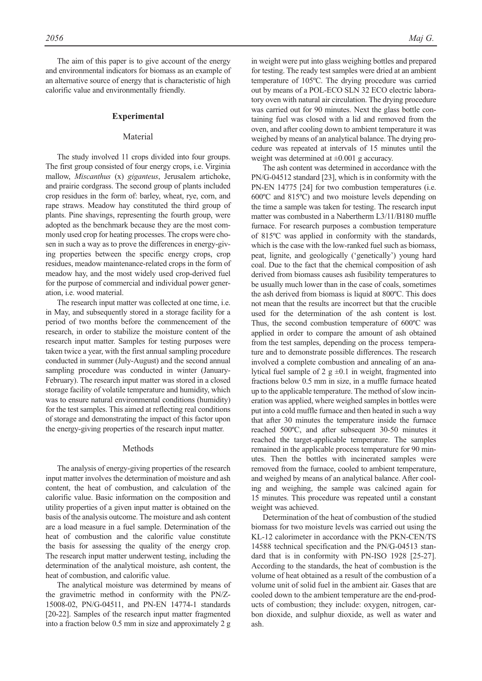The aim of this paper is to give account of the energy and environmental indicators for biomass as an example of an alternative source of energy that is characteristic of high calorific value and environmentally friendly.

### **Experimental**

## Material

The study involved 11 crops divided into four groups. The first group consisted of four energy crops, i.e. Virginia mallow, *Miscanthus* (x) *giganteus*, Jerusalem artichoke, and prairie cordgrass. The second group of plants included crop residues in the form of: barley, wheat, rye, corn, and rape straws. Meadow hay constituted the third group of plants. Pine shavings, representing the fourth group, were adopted as the benchmark because they are the most commonly used crop for heating processes. The crops were chosen in such a way as to prove the differences in energy-giving properties between the specific energy crops, crop residues, meadow maintenance-related crops in the form of meadow hay, and the most widely used crop-derived fuel for the purpose of commercial and individual power generation, i.e. wood material.

The research input matter was collected at one time, i.e. in May, and subsequently stored in a storage facility for a period of two months before the commencement of the research, in order to stabilize the moisture content of the research input matter. Samples for testing purposes were taken twice a year, with the first annual sampling procedure conducted in summer (July-August) and the second annual sampling procedure was conducted in winter (January-February). The research input matter was stored in a closed storage facility of volatile temperature and humidity, which was to ensure natural environmental conditions (humidity) for the test samples. This aimed at reflecting real conditions of storage and demonstrating the impact of this factor upon the energy-giving properties of the research input matter.

#### Methods

The analysis of energy-giving properties of the research input matter involves the determination of moisture and ash content, the heat of combustion, and calculation of the calorific value. Basic information on the composition and utility properties of a given input matter is obtained on the basis of the analysis outcome. The moisture and ash content are a load measure in a fuel sample. Determination of the heat of combustion and the calorific value constitute the basis for assessing the quality of the energy crop. The research input matter underwent testing, including the determination of the analytical moisture, ash content, the heat of combustion, and calorific value.

The analytical moisture was determined by means of the gravimetric method in conformity with the PN/Z-15008-02, PN/G-04511, and PN-EN 14774-1 standards [20-22]. Samples of the research input matter fragmented into a fraction below 0.5 mm in size and approximately 2 g in weight were put into glass weighing bottles and prepared for testing. The ready test samples were dried at an ambient temperature of 105ºC. The drying procedure was carried out by means of a POL-ECO SLN 32 ECO electric laboratory oven with natural air circulation. The drying procedure was carried out for 90 minutes. Next the glass bottle containing fuel was closed with a lid and removed from the oven, and after cooling down to ambient temperature it was weighed by means of an analytical balance. The drying procedure was repeated at intervals of 15 minutes until the weight was determined at  $\pm 0.001$  g accuracy.

The ash content was determined in accordance with the PN/G-04512 standard [23], which is in conformity with the PN-EN 14775 [24] for two combustion temperatures (i.e. 600ºC and 815ºC) and two moisture levels depending on the time a sample was taken for testing. The research input matter was combusted in a Nabertherm L3/11/B180 muffle furnace. For research purposes a combustion temperature of 815ºC was applied in conformity with the standards, which is the case with the low-ranked fuel such as biomass, peat, lignite, and geologically ('genetically') young hard coal. Due to the fact that the chemical composition of ash derived from biomass causes ash fusibility temperatures to be usually much lower than in the case of coals, sometimes the ash derived from biomass is liquid at 800ºC. This does not mean that the results are incorrect but that the crucible used for the determination of the ash content is lost. Thus, the second combustion temperature of 600ºC was applied in order to compare the amount of ash obtained from the test samples, depending on the process temperature and to demonstrate possible differences. The research involved a complete combustion and annealing of an analytical fuel sample of 2  $g \pm 0.1$  in weight, fragmented into fractions below 0.5 mm in size, in a muffle furnace heated up to the applicable temperature. The method of slow incineration was applied, where weighed samples in bottles were put into a cold muffle furnace and then heated in such a way that after 30 minutes the temperature inside the furnace reached 500ºC, and after subsequent 30-50 minutes it reached the target-applicable temperature. The samples remained in the applicable process temperature for 90 minutes. Then the bottles with incinerated samples were removed from the furnace, cooled to ambient temperature, and weighed by means of an analytical balance. After cooling and weighing, the sample was calcined again for 15 minutes. This procedure was repeated until a constant weight was achieved.

Determination of the heat of combustion of the studied biomass for two moisture levels was carried out using the KL-12 calorimeter in accordance with the PKN-CEN/TS 14588 technical specification and the PN/G-04513 standard that is in conformity with PN-ISO 1928 [25-27]. According to the standards, the heat of combustion is the volume of heat obtained as a result of the combustion of a volume unit of solid fuel in the ambient air. Gases that are cooled down to the ambient temperature are the end-products of combustion; they include: oxygen, nitrogen, carbon dioxide, and sulphur dioxide, as well as water and ash.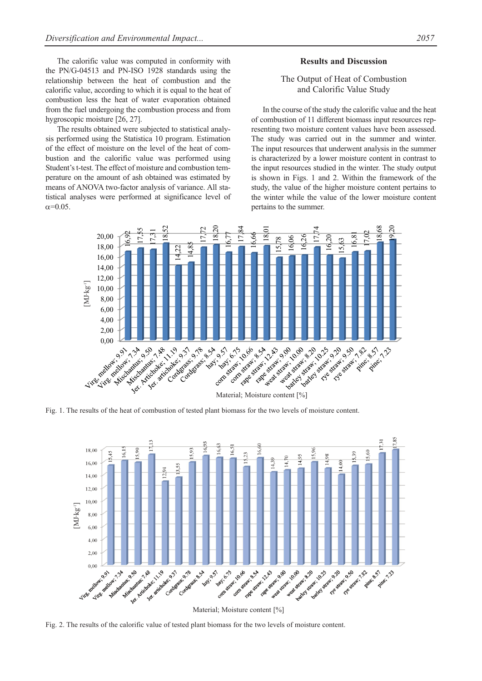The calorific value was computed in conformity with the PN/G-04513 and PN-ISO 1928 standards using the relationship between the heat of combustion and the calorific value, according to which it is equal to the heat of combustion less the heat of water evaporation obtained from the fuel undergoing the combustion process and from hygroscopic moisture [26, 27].

The results obtained were subjected to statistical analysis performed using the Statistica 10 program. Estimation of the effect of moisture on the level of the heat of combustion and the calorific value was performed using Student's t-test. The effect of moisture and combustion temperature on the amount of ash obtained was estimated by means of ANOVA two-factor analysis of variance. All statistical analyses were performed at significance level of  $α=0.05$ .

## **Results and Discussion**

# The Output of Heat of Combustion and Calorific Value Study

In the course of the study the calorific value and the heat of combustion of 11 different biomass input resources representing two moisture content values have been assessed. The study was carried out in the summer and winter. The input resources that underwent analysis in the summer is characterized by a lower moisture content in contrast to the input resources studied in the winter. The study output is shown in Figs. 1 and 2. Within the framework of the study, the value of the higher moisture content pertains to the winter while the value of the lower moisture content pertains to the summer.



Fig. 1. The results of the heat of combustion of tested plant biomass for the two levels of moisture content.



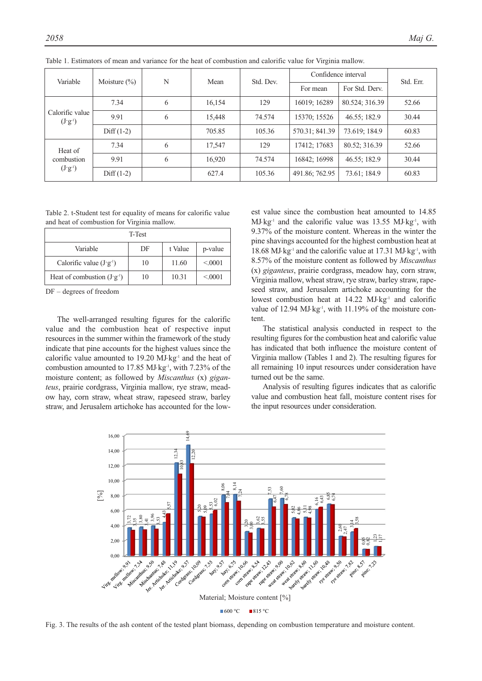| Variable                              | Moisture $(\%)$ | N | Mean   | Std. Dev. | Confidence interval |                | Std. Err. |
|---------------------------------------|-----------------|---|--------|-----------|---------------------|----------------|-----------|
|                                       |                 |   |        |           | For mean            | For Std. Derv. |           |
| Calorific value<br>$(J'g^{-1})$       | 7.34            | 6 | 16,154 | 129       | 16019; 16289        | 80.524; 316.39 | 52.66     |
|                                       | 9.91            | 6 | 15,448 | 74.574    | 15370; 15526        | 46.55; 182.9   | 30.44     |
|                                       | $Diff(1-2)$     |   | 705.85 | 105.36    | 570.31; 841.39      | 73.619; 184.9  | 60.83     |
| Heat of<br>combustion<br>$(J'g^{-1})$ | 7.34            | 6 | 17,547 | 129       | 17412; 17683        | 80.52; 316.39  | 52.66     |
|                                       | 9.91            | 6 | 16,920 | 74.574    | 16842; 16998        | 46.55; 182.9   | 30.44     |
|                                       | $Diff(1-2)$     |   | 627.4  | 105.36    | 491.86; 762.95      | 73.61; 184.9   | 60.83     |

Table 1. Estimators of mean and variance for the heat of combustion and calorific value for Virginia mallow.

Table 2. t-Student test for equality of means for calorific value and heat of combustion for Virginia mallow.

|                                    | T-Test |         |          |
|------------------------------------|--------|---------|----------|
| Variable                           | DF     | t Value | p-value  |
| Calorific value $(J \cdot g^{-1})$ | 10     | 11.60   | < 0.0001 |
| Heat of combustion $(J'g^{-1})$    | 10     | 10.31   | < 0.001  |

DF – degrees of freedom

The well-arranged resulting figures for the calorific value and the combustion heat of respective input resources in the summer within the framework of the study indicate that pine accounts for the highest values since the calorific value amounted to 19.20 MJ⋅kg-1 and the heat of combustion amounted to 17.85 MJ⋅kg-1, with 7.23% of the moisture content; as followed by *Miscanthus* (x) *giganteus*, prairie cordgrass, Virginia mallow, rye straw, meadow hay, corn straw, wheat straw, rapeseed straw, barley straw, and Jerusalem artichoke has accounted for the lowest value since the combustion heat amounted to 14.85  $MJ·kg<sup>-1</sup>$  and the calorific value was 13.55 MJ⋅kg<sup>-1</sup>, with 9.37% of the moisture content. Whereas in the winter the pine shavings accounted for the highest combustion heat at 18.68 MJ⋅kg-1 and the calorific value at 17.31 MJ⋅kg-1, with 8.57% of the moisture content as followed by *Miscanthus* (x) *giganteus*, prairie cordgrass, meadow hay, corn straw, Virginia mallow, wheat straw, rye straw, barley straw, rapeseed straw, and Jerusalem artichoke accounting for the lowest combustion heat at 14.22 MJ⋅kg-1 and calorific value of 12.94 MJ⋅kg<sup>-1</sup>, with 11.19% of the moisture content.

The statistical analysis conducted in respect to the resulting figures for the combustion heat and calorific value has indicated that both influence the moisture content of Virginia mallow (Tables 1 and 2). The resulting figures for all remaining 10 input resources under consideration have turned out be the same.

Analysis of resulting figures indicates that as calorific value and combustion heat fall, moisture content rises for the input resources under consideration.



Fig. 3. The results of the ash content of the tested plant biomass, depending on combustion temperature and moisture content.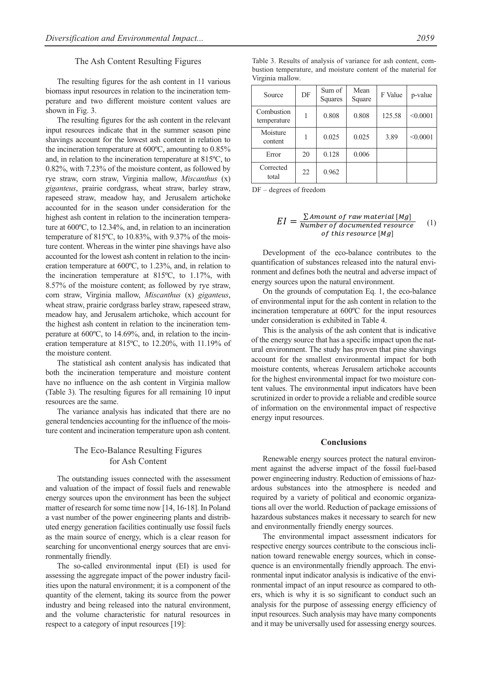#### The Ash Content Resulting Figures

The resulting figures for the ash content in 11 various biomass input resources in relation to the incineration temperature and two different moisture content values are shown in Fig. 3.

The resulting figures for the ash content in the relevant input resources indicate that in the summer season pine shavings account for the lowest ash content in relation to the incineration temperature at 600ºC, amounting to 0.85% and, in relation to the incineration temperature at 815ºC, to 0.82%, with 7.23% of the moisture content, as followed by rye straw, corn straw, Virginia mallow, *Miscanthus* (x) *giganteus*, prairie cordgrass, wheat straw, barley straw, rapeseed straw, meadow hay, and Jerusalem artichoke accounted for in the season under consideration for the highest ash content in relation to the incineration temperature at 600ºC, to 12.34%, and, in relation to an incineration temperature of 815ºC, to 10.83%, with 9.37% of the moisture content. Whereas in the winter pine shavings have also accounted for the lowest ash content in relation to the incineration temperature at 600ºC, to 1.23%, and, in relation to the incineration temperature at 815ºC, to 1.17%, with 8.57% of the moisture content; as followed by rye straw, corn straw, Virginia mallow, *Miscanthus* (x) *giganteus*, wheat straw, prairie cordgrass barley straw, rapeseed straw, meadow hay, and Jerusalem artichoke, which account for the highest ash content in relation to the incineration temperature at 600ºC, to 14.69%, and, in relation to the incineration temperature at 815ºC, to 12.20%, with 11.19% of the moisture content.

The statistical ash content analysis has indicated that both the incineration temperature and moisture content have no influence on the ash content in Virginia mallow (Table 3). The resulting figures for all remaining 10 input resources are the same.

The variance analysis has indicated that there are no general tendencies accounting for the influence of the moisture content and incineration temperature upon ash content.

# The Eco-Balance Resulting Figures for Ash Content

The outstanding issues connected with the assessment and valuation of the impact of fossil fuels and renewable energy sources upon the environment has been the subject matter of research for some time now [14, 16-18]. In Poland a vast number of the power engineering plants and distributed energy generation facilities continually use fossil fuels as the main source of energy, which is a clear reason for searching for unconventional energy sources that are environmentally friendly.

The so-called environmental input (EI) is used for assessing the aggregate impact of the power industry facilities upon the natural environment; it is a component of the quantity of the element, taking its source from the power industry and being released into the natural environment, and the volume characteristic for natural resources in respect to a category of input resources [19]:

bustion temperature, and moisture content of the material for Virginia mallow. Mean

Table 3. Results of analysis of variance for ash content, com-

| Source                    | DF | Sum of<br>Squares | Mean<br>Square | F Value | p-value  |
|---------------------------|----|-------------------|----------------|---------|----------|
| Combustion<br>temperature |    | 0.808             | 0.808          | 125.58  | < 0.0001 |
| Moisture<br>content       | 1  | 0.025             | 0.025          | 3.89    | < 0.0001 |
| Error                     | 20 | 0.128             | 0.006          |         |          |
| Corrected<br>total        | 22 | 0.962             |                |         |          |

DF – degrees of freedom

$$
EI = \frac{\sum \text{Amount of raw material [Mg]}}{\text{Number of documented resource}} \quad (1)
$$
\n
$$
of this resource [Mg]
$$

Development of the eco-balance contributes to the quantification of substances released into the natural environment and defines both the neutral and adverse impact of energy sources upon the natural environment.

On the grounds of computation Eq. 1, the eco-balance of environmental input for the ash content in relation to the incineration temperature at 600ºC for the input resources under consideration is exhibited in Table 4.

This is the analysis of the ash content that is indicative of the energy source that has a specific impact upon the natural environment. The study has proven that pine shavings account for the smallest environmental impact for both moisture contents, whereas Jerusalem artichoke accounts for the highest environmental impact for two moisture content values. The environmental input indicators have been scrutinized in order to provide a reliable and credible source of information on the environmental impact of respective energy input resources.

#### **Conclusions**

Renewable energy sources protect the natural environment against the adverse impact of the fossil fuel-based power engineering industry. Reduction of emissions of hazardous substances into the atmosphere is needed and required by a variety of political and economic organizations all over the world. Reduction of package emissions of hazardous substances makes it necessary to search for new and environmentally friendly energy sources.

The environmental impact assessment indicators for respective energy sources contribute to the conscious inclination toward renewable energy sources, which in consequence is an environmentally friendly approach. The environmental input indicator analysis is indicative of the environmental impact of an input resource as compared to others, which is why it is so significant to conduct such an analysis for the purpose of assessing energy efficiency of input resources. Such analysis may have many components and it may be universally used for assessing energy sources.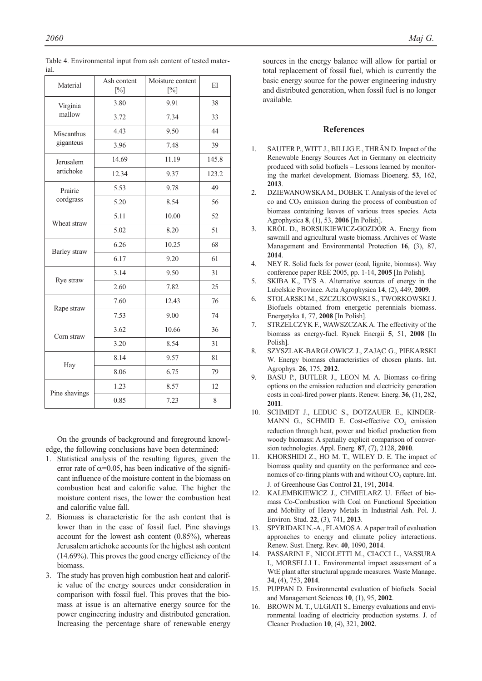| Material      | Moisture content<br>Ash content<br>$[\%]$<br>$[\%]$ |       | EI    |
|---------------|-----------------------------------------------------|-------|-------|
| Virginia      | 3.80                                                | 9.91  | 38    |
| mallow        | 3.72                                                | 7.34  | 33    |
| Miscanthus    | 4.43                                                | 9.50  | 44    |
| giganteus     | 3.96                                                | 7.48  | 39    |
| Jerusalem     | 14.69                                               | 11.19 | 145.8 |
| artichoke     | 12.34                                               | 9.37  | 123.2 |
| Prairie       | 5.53                                                | 9.78  | 49    |
| cordgrass     | 5.20                                                | 8.54  | 56    |
| Wheat straw   | 5.11                                                | 10.00 | 52    |
|               | 5.02                                                | 8.20  | 51    |
| Barley straw  | 6.26                                                | 10.25 | 68    |
|               | 6.17                                                | 9.20  | 61    |
| Rye straw     | 3.14                                                | 9.50  | 31    |
|               | 2.60                                                | 7.82  | 25    |
| Rape straw    | 7.60                                                | 12.43 | 76    |
|               | 7.53                                                | 9.00  | 74    |
| Corn straw    | 3.62                                                | 10.66 | 36    |
|               | 3.20                                                | 8.54  | 31    |
| Hay           | 8.14                                                | 9.57  | 81    |
|               | 8.06                                                | 6.75  | 79    |
| Pine shavings | 1.23                                                | 8.57  | 12    |
|               | 0.85                                                | 7.23  | 8     |

Table 4. Environmental input from ash content of tested material.

On the grounds of background and foreground knowledge, the following conclusions have been determined:

- 1. Statistical analysis of the resulting figures, given the error rate of  $\alpha$ =0.05, has been indicative of the significant influence of the moisture content in the biomass on combustion heat and calorific value. The higher the moisture content rises, the lower the combustion heat and calorific value fall.
- 2. Biomass is characteristic for the ash content that is lower than in the case of fossil fuel. Pine shavings account for the lowest ash content (0.85%), whereas Jerusalem artichoke accounts for the highest ash content (14.69%). This proves the good energy efficiency of the biomass.
- 3. The study has proven high combustion heat and calorific value of the energy sources under consideration in comparison with fossil fuel. This proves that the biomass at issue is an alternative energy source for the power engineering industry and distributed generation. Increasing the percentage share of renewable energy

sources in the energy balance will allow for partial or total replacement of fossil fuel, which is currently the basic energy source for the power engineering industry and distributed generation, when fossil fuel is no longer available.

# **References**

- 1. SAUTER P., WITT J., BILLIG E., THRÄN D. Impact of the Renewable Energy Sources Act in Germany on electricity produced with solid biofuels – Lessons learned by monitoring the market development. Biomass Bioenerg. **53**, 162, **2013**.
- 2. DZIEWANOWSKA M., DOBEK T. Analysis of the level of co and CO<sub>2</sub> emission during the process of combustion of biomass containing leaves of various trees species. Acta Agrophysica **8**, (1), 53, **2006** [In Polish].
- 3. KRÓL D., BORSUKIEWICZ-GOZDÓR A. Energy from sawmill and agricultural waste biomass. Archives of Waste Management and Environmental Protection **16**, (3), 87, **2014**.
- 4. NEY R. Solid fuels for power (coal, lignite, biomass). Way conference paper REE 2005, pp. 1-14, **2005** [In Polish].
- 5. SKIBA K., TYS A. Alternative sources of energy in the Lubelskie Province. Acta Agrophysica **14**, (2), 449, **2009**.
- 6. STOLARSKI M., SZCZUKOWSKI S., TWORKOWSKI J. Biofuels obtained from energetic perennials biomass. Energetyka **1**, 77, **2008** [In Polish].
- 7. STRZELCZYK F., WAWSZCZAK A. The effectivity of the biomass as energy-fuel. Rynek Energii **5**, 51, **2008** [In Polish].
- 8. SZYSZLAK-BARGŁOWICZ J., ZAJĄC G., PIEKARSKI W. Energy biomass characteristics of chosen plants. Int. Agrophys. **26**, 175, **2012**.
- 9. BASU P., BUTLER J., LEON M. A. Biomass co-firing options on the emission reduction and electricity generation costs in coal-fired power plants. Renew. Energ. **36**, (1), 282, **2011**.
- 10. SCHMIDT J., LEDUC S., DOTZAUER E., KINDER-MANN G., SCHMID E. Cost-effective  $CO<sub>2</sub>$  emission reduction through heat, power and biofuel production from woody biomass: A spatially explicit comparison of conversion technologies. Appl. Energ. **87**, (7), 2128, **2010**.
- 11. KHORSHIDI Z., HO M. T., WILEY D. E. The impact of biomass quality and quantity on the performance and economics of co-firing plants with and without  $CO_2$  capture. Int. J. of Greenhouse Gas Control **21**, 191, **2014**.
- 12. KALEMBKIEWICZ J., CHMIELARZ U. Effect of biomass Co-Combustion with Coal on Functional Speciation and Mobility of Heavy Metals in Industrial Ash. Pol. J. Environ. Stud. **22**, (3), 741, **2013**.
- 13. SPYRIDAKI N.-A., FLAMOS A. A paper trail of evaluation approaches to energy and climate policy interactions. Renew. Sust. Energ. Rev. **40**, 1090, **2014**.
- 14. PASSARINI F., NICOLETTI M., CIACCI L., VASSURA I., MORSELLI L. Environmental impact assessment of a WtE plant after structural upgrade measures. Waste Manage. **34**, (4), 753, **2014**.
- 15. PUPPAN D. Environmental evaluation of biofuels. Social and Management Sciences **10**, (1), 95, **2002**.
- 16. BROWN M. T., ULGIATI S., Emergy evaluations and environmental loading of electricity production systems. J. of Cleaner Production **10**, (4), 321, **2002**.